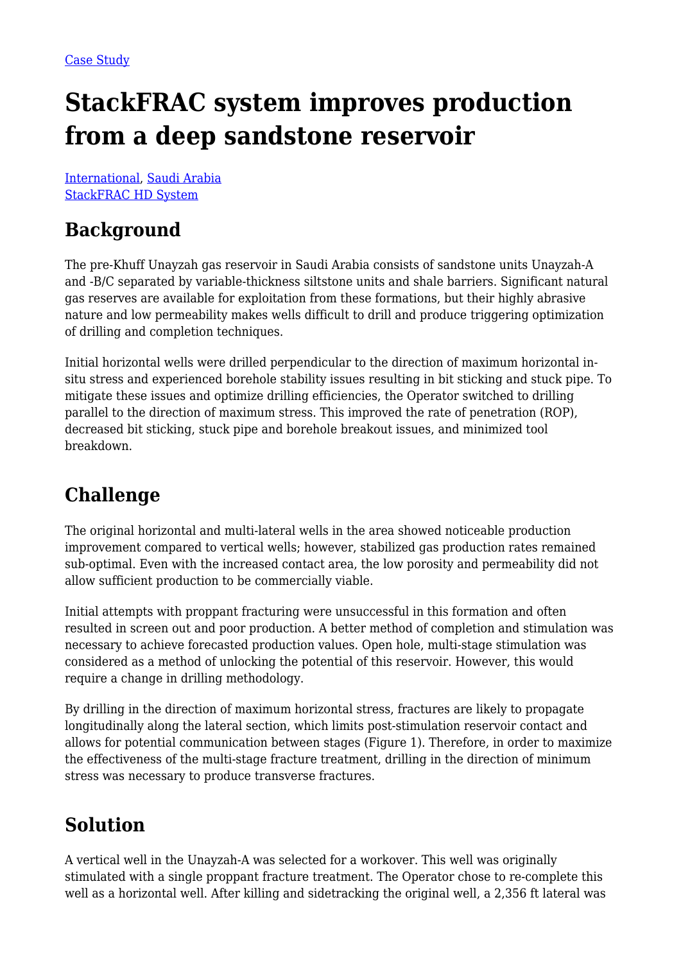# **StackFRAC system improves production from a deep sandstone reservoir**

[International](https://packersplus.com/proven-performance/?region=international#listing), [Saudi Arabia](https://packersplus.com/proven-performance/?formation=saudi-arabia#listing) [StackFRAC HD System](https://packersplus.com/proven-performance/?system=stackfrac-hd-system#listing)

#### **Background**

The pre-Khuff Unayzah gas reservoir in Saudi Arabia consists of sandstone units Unayzah-A and -B/C separated by variable-thickness siltstone units and shale barriers. Significant natural gas reserves are available for exploitation from these formations, but their highly abrasive nature and low permeability makes wells difficult to drill and produce triggering optimization of drilling and completion techniques.

Initial horizontal wells were drilled perpendicular to the direction of maximum horizontal insitu stress and experienced borehole stability issues resulting in bit sticking and stuck pipe. To mitigate these issues and optimize drilling efficiencies, the Operator switched to drilling parallel to the direction of maximum stress. This improved the rate of penetration (ROP), decreased bit sticking, stuck pipe and borehole breakout issues, and minimized tool breakdown.

#### **Challenge**

The original horizontal and multi-lateral wells in the area showed noticeable production improvement compared to vertical wells; however, stabilized gas production rates remained sub-optimal. Even with the increased contact area, the low porosity and permeability did not allow sufficient production to be commercially viable.

Initial attempts with proppant fracturing were unsuccessful in this formation and often resulted in screen out and poor production. A better method of completion and stimulation was necessary to achieve forecasted production values. Open hole, multi-stage stimulation was considered as a method of unlocking the potential of this reservoir. However, this would require a change in drilling methodology.

By drilling in the direction of maximum horizontal stress, fractures are likely to propagate longitudinally along the lateral section, which limits post-stimulation reservoir contact and allows for potential communication between stages (Figure 1). Therefore, in order to maximize the effectiveness of the multi-stage fracture treatment, drilling in the direction of minimum stress was necessary to produce transverse fractures.

## **Solution**

A vertical well in the Unayzah-A was selected for a workover. This well was originally stimulated with a single proppant fracture treatment. The Operator chose to re-complete this well as a horizontal well. After killing and sidetracking the original well, a 2,356 ft lateral was